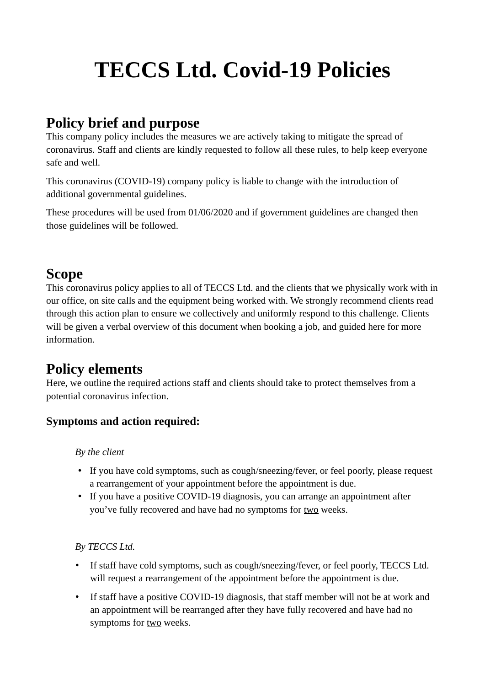# **TECCS Ltd. Covid-19 Policies**

# **Policy brief and purpose**

This company policy includes the measures we are actively taking to mitigate the spread of coronavirus. Staff and clients are kindly requested to follow all these rules, to help keep everyone safe and well.

This coronavirus (COVID-19) company policy is liable to change with the introduction of additional governmental guidelines.

These procedures will be used from 01/06/2020 and if government guidelines are changed then those guidelines will be followed.

## **Scope**

This coronavirus policy applies to all of TECCS Ltd. and the clients that we physically work with in our office, on site calls and the equipment being worked with. We strongly recommend clients read through this action plan to ensure we collectively and uniformly respond to this challenge. Clients will be given a verbal overview of this document when booking a job, and guided here for more information.

# **Policy elements**

Here, we outline the required actions staff and clients should take to protect themselves from a potential coronavirus infection.

## **Symptoms and action required:**

#### *By the client*

- If you have cold symptoms, such as cough/sneezing/fever, or feel poorly, please request a rearrangement of your appointment before the appointment is due.
- If you have a positive COVID-19 diagnosis, you can arrange an appointment after you've fully recovered and have had no symptoms for two weeks.

#### *By TECCS Ltd.*

- If staff have cold symptoms, such as cough/sneezing/fever, or feel poorly, TECCS Ltd. will request a rearrangement of the appointment before the appointment is due.
- If staff have a positive COVID-19 diagnosis, that staff member will not be at work and an appointment will be rearranged after they have fully recovered and have had no symptoms for two weeks.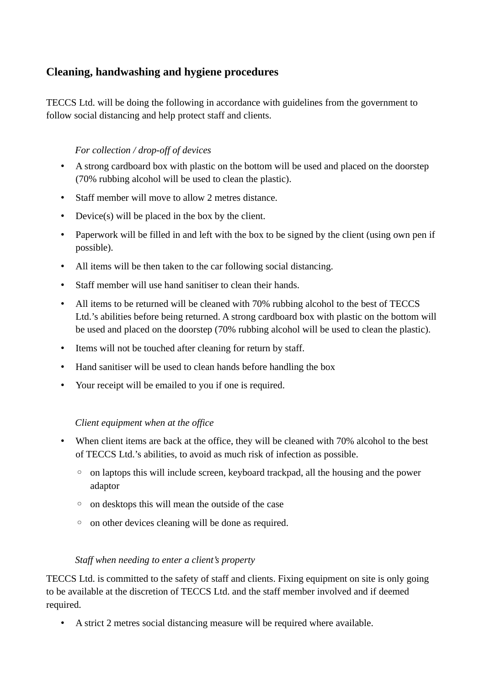## **Cleaning, handwashing and hygiene procedures**

TECCS Ltd. will be doing the following in accordance with guidelines from the government to follow social distancing and help protect staff and clients.

#### *For collection / drop-off of devices*

- A strong cardboard box with plastic on the bottom will be used and placed on the doorstep (70% rubbing alcohol will be used to clean the plastic).
- Staff member will move to allow 2 metres distance.
- Device(s) will be placed in the box by the client.
- Paperwork will be filled in and left with the box to be signed by the client (using own pen if possible).
- All items will be then taken to the car following social distancing.
- Staff member will use hand sanitiser to clean their hands.
- All items to be returned will be cleaned with 70% rubbing alcohol to the best of TECCS Ltd.'s abilities before being returned. A strong cardboard box with plastic on the bottom will be used and placed on the doorstep (70% rubbing alcohol will be used to clean the plastic).
- Items will not be touched after cleaning for return by staff.
- Hand sanitiser will be used to clean hands before handling the box
- Your receipt will be emailed to you if one is required.

#### *Client equipment when at the office*

- When client items are back at the office, they will be cleaned with 70% alcohol to the best of TECCS Ltd.'s abilities, to avoid as much risk of infection as possible.
	- on laptops this will include screen, keyboard trackpad, all the housing and the power adaptor
	- on desktops this will mean the outside of the case
	- on other devices cleaning will be done as required.

#### *Staff when needing to enter a client's property*

TECCS Ltd. is committed to the safety of staff and clients. Fixing equipment on site is only going to be available at the discretion of TECCS Ltd. and the staff member involved and if deemed required.

• A strict 2 metres social distancing measure will be required where available.